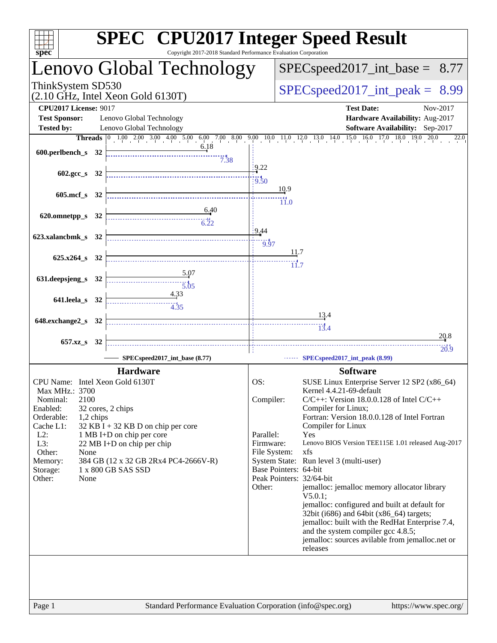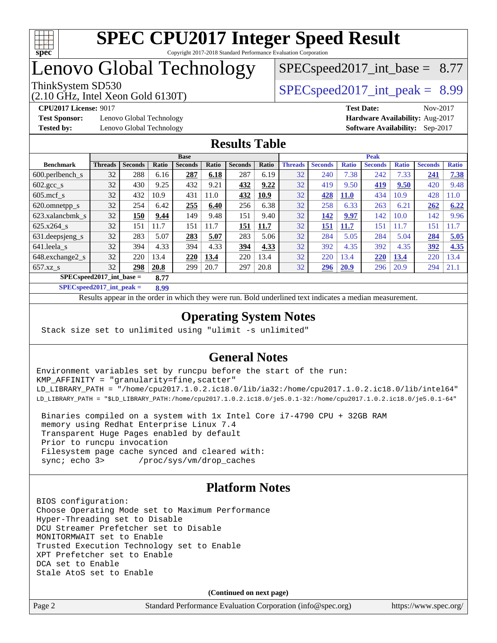

# Lenovo Global Technology

 $SPECspeed2017\_int\_base = 8.77$ 

(2.10 GHz, Intel Xeon Gold 6130T)

ThinkSystem SD530  $SPEC speed2017$  int peak = 8.99

**[Test Sponsor:](http://www.spec.org/auto/cpu2017/Docs/result-fields.html#TestSponsor)** Lenovo Global Technology **[Hardware Availability:](http://www.spec.org/auto/cpu2017/Docs/result-fields.html#HardwareAvailability)** Aug-2017

**[CPU2017 License:](http://www.spec.org/auto/cpu2017/Docs/result-fields.html#CPU2017License)** 9017 **[Test Date:](http://www.spec.org/auto/cpu2017/Docs/result-fields.html#TestDate)** Nov-2017 **[Tested by:](http://www.spec.org/auto/cpu2017/Docs/result-fields.html#Testedby)** Lenovo Global Technology **[Software Availability:](http://www.spec.org/auto/cpu2017/Docs/result-fields.html#SoftwareAvailability)** Sep-2017

## **[Results Table](http://www.spec.org/auto/cpu2017/Docs/result-fields.html#ResultsTable)**

|                                     | <b>Base</b>    |                |       |                |       | <b>Peak</b>    |       |                |                |              |                |              |                |              |
|-------------------------------------|----------------|----------------|-------|----------------|-------|----------------|-------|----------------|----------------|--------------|----------------|--------------|----------------|--------------|
| <b>Benchmark</b>                    | <b>Threads</b> | <b>Seconds</b> | Ratio | <b>Seconds</b> | Ratio | <b>Seconds</b> | Ratio | <b>Threads</b> | <b>Seconds</b> | <b>Ratio</b> | <b>Seconds</b> | <b>Ratio</b> | <b>Seconds</b> | <b>Ratio</b> |
| $600.$ perlbench $_s$               | 32             | 288            | 6.16  | 287            | 6.18  | 287            | 6.19  | 32             | 240            | 7.38         | 242            | 7.33         | 241            | 7.38         |
| $602 \text{.} \text{gcc}\text{.}$ s | 32             | 430            | 9.25  | 432            | 9.21  | 432            | 9.22  | 32             | 419            | 9.50         | <u>419</u>     | 9.50         | 420            | 9.48         |
| $605$ .mcf s                        | 32             | 432            | 10.9  | 431            | 11.0  | 432            | 10.9  | 32             | 428            | <b>11.0</b>  | 434            | 10.9         | 428            | 11.0         |
| 620.omnetpp_s                       | 32             | 254            | 6.42  | 255            | 6.40  | 256            | 6.38  | 32             | 258            | 6.33         | 263            | 6.21         | 262            | 6.22         |
| 623.xalancbmk s                     | 32             | 150            | 9.44  | 149            | 9.48  | 151            | 9.40  | 32             | 142            | 9.97         | 142            | 10.0         | 142            | 9.96         |
| $625.x264$ s                        | 32             | 151            | 11.7  | 151            | 11.7  | 151            | 11.7  | 32             | 151            | 11.7         | 151            | 1.7          | 151            | 1.7          |
| 631.deepsjeng_s                     | 32             | 283            | 5.07  | 283            | 5.07  | 283            | 5.06  | 32             | 284            | 5.05         | 284            | 5.04         | 284            | 5.05         |
| 641.leela_s                         | 32             | 394            | 4.33  | 394            | 4.33  | 394            | 4.33  | 32             | 392            | 4.35         | 392            | 4.35         | 392            | 4.35         |
| 648.exchange2_s                     | 32             | 220            | 13.4  | 220            | 13.4  | 220            | 13.4  | 32             | 220            | 13.4         | 220            | 13.4         | 220            | 13.4         |
| $657.xz$ s                          | 32             | 298            | 20.8  | 299            | 20.7  | 297            | 20.8  | 32             | 296            | 20.9         | 296            | 20.9         | 294            | 21.1         |
| $SPEC speed2017$ int base =<br>8.77 |                |                |       |                |       |                |       |                |                |              |                |              |                |              |

**[SPECspeed2017\\_int\\_peak =](http://www.spec.org/auto/cpu2017/Docs/result-fields.html#SPECspeed2017intpeak) 8.99**

Results appear in the [order in which they were run.](http://www.spec.org/auto/cpu2017/Docs/result-fields.html#RunOrder) Bold underlined text [indicates a median measurement](http://www.spec.org/auto/cpu2017/Docs/result-fields.html#Median).

## **[Operating System Notes](http://www.spec.org/auto/cpu2017/Docs/result-fields.html#OperatingSystemNotes)**

Stack size set to unlimited using "ulimit -s unlimited"

## **[General Notes](http://www.spec.org/auto/cpu2017/Docs/result-fields.html#GeneralNotes)**

Environment variables set by runcpu before the start of the run: KMP\_AFFINITY = "granularity=fine,scatter" LD\_LIBRARY\_PATH = "/home/cpu2017.1.0.2.ic18.0/lib/ia32:/home/cpu2017.1.0.2.ic18.0/lib/intel64" LD\_LIBRARY\_PATH = "\$LD\_LIBRARY\_PATH:/home/cpu2017.1.0.2.ic18.0/je5.0.1-32:/home/cpu2017.1.0.2.ic18.0/je5.0.1-64"

 Binaries compiled on a system with 1x Intel Core i7-4790 CPU + 32GB RAM memory using Redhat Enterprise Linux 7.4 Transparent Huge Pages enabled by default Prior to runcpu invocation Filesystem page cache synced and cleared with: sync; echo 3> /proc/sys/vm/drop\_caches

## **[Platform Notes](http://www.spec.org/auto/cpu2017/Docs/result-fields.html#PlatformNotes)**

BIOS configuration: Choose Operating Mode set to Maximum Performance Hyper-Threading set to Disable DCU Streamer Prefetcher set to Disable MONITORMWAIT set to Enable Trusted Execution Technology set to Enable XPT Prefetcher set to Enable DCA set to Enable Stale AtoS set to Enable

**(Continued on next page)**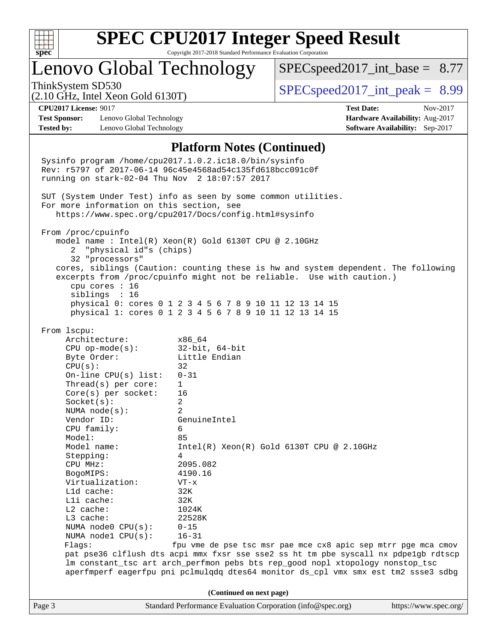

# Lenovo Global Technology

 $SPEC speed2017\_int\_base = 8.77$ 

(2.10 GHz, Intel Xeon Gold 6130T)

ThinkSystem SD530  $SPEC speed2017$  int peak = 8.99

**[Test Sponsor:](http://www.spec.org/auto/cpu2017/Docs/result-fields.html#TestSponsor)** Lenovo Global Technology **[Hardware Availability:](http://www.spec.org/auto/cpu2017/Docs/result-fields.html#HardwareAvailability)** Aug-2017 **[Tested by:](http://www.spec.org/auto/cpu2017/Docs/result-fields.html#Testedby)** Lenovo Global Technology **[Software Availability:](http://www.spec.org/auto/cpu2017/Docs/result-fields.html#SoftwareAvailability)** Sep-2017

**[CPU2017 License:](http://www.spec.org/auto/cpu2017/Docs/result-fields.html#CPU2017License)** 9017 **[Test Date:](http://www.spec.org/auto/cpu2017/Docs/result-fields.html#TestDate)** Nov-2017

### **[Platform Notes \(Continued\)](http://www.spec.org/auto/cpu2017/Docs/result-fields.html#PlatformNotes)**

Page 3 Standard Performance Evaluation Corporation [\(info@spec.org\)](mailto:info@spec.org) <https://www.spec.org/> Sysinfo program /home/cpu2017.1.0.2.ic18.0/bin/sysinfo Rev: r5797 of 2017-06-14 96c45e4568ad54c135fd618bcc091c0f running on stark-02-04 Thu Nov 2 18:07:57 2017 SUT (System Under Test) info as seen by some common utilities. For more information on this section, see <https://www.spec.org/cpu2017/Docs/config.html#sysinfo> From /proc/cpuinfo model name : Intel(R) Xeon(R) Gold 6130T CPU @ 2.10GHz 2 "physical id"s (chips) 32 "processors" cores, siblings (Caution: counting these is hw and system dependent. The following excerpts from /proc/cpuinfo might not be reliable. Use with caution.) cpu cores : 16 siblings : 16 physical 0: cores 0 1 2 3 4 5 6 7 8 9 10 11 12 13 14 15 physical 1: cores 0 1 2 3 4 5 6 7 8 9 10 11 12 13 14 15 From lscpu: Architecture: x86\_64 CPU op-mode(s): 32-bit, 64-bit Byte Order: Little Endian  $CPU(s):$  32 On-line CPU(s) list: 0-31 Thread(s) per core: 1 Core(s) per socket: 16 Socket(s): 2 NUMA node(s): 2 Vendor ID: GenuineIntel CPU family: 6 Model: 85 Model name:  $Intel(R)$  Xeon(R) Gold 6130T CPU @ 2.10GHz Stepping: 4 CPU MHz: 2095.082 BogoMIPS: 4190.16 Virtualization: VT-x L1d cache: 32K L1i cache: 32K L2 cache: 1024K L3 cache: 22528K NUMA node0 CPU(s): 0-15 NUMA node1 CPU(s): 16-31 Flags: fpu vme de pse tsc msr pae mce cx8 apic sep mtrr pge mca cmov pat pse36 clflush dts acpi mmx fxsr sse sse2 ss ht tm pbe syscall nx pdpe1gb rdtscp lm constant\_tsc art arch\_perfmon pebs bts rep\_good nopl xtopology nonstop\_tsc aperfmperf eagerfpu pni pclmulqdq dtes64 monitor ds\_cpl vmx smx est tm2 ssse3 sdbg **(Continued on next page)**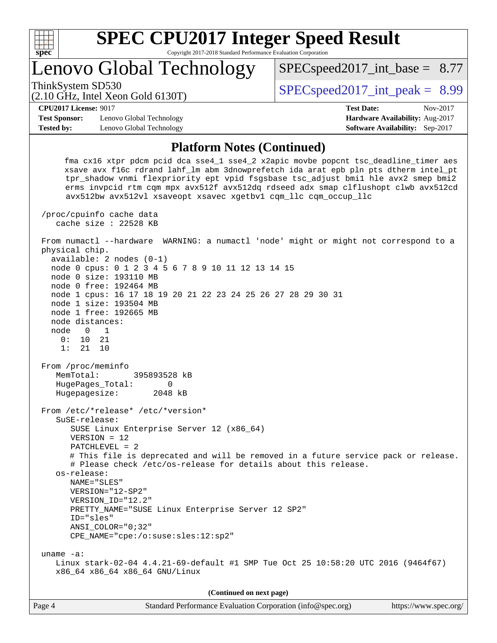

# Lenovo Global Technology

ThinkSystem SD530  $SPEC speed2017$  int peak = 8.99

 $SPEC speed2017\_int\_base = 8.77$ 

#### (2.10 GHz, Intel Xeon Gold 6130T)

**[CPU2017 License:](http://www.spec.org/auto/cpu2017/Docs/result-fields.html#CPU2017License)** 9017 **[Test Date:](http://www.spec.org/auto/cpu2017/Docs/result-fields.html#TestDate)** Nov-2017

**[Test Sponsor:](http://www.spec.org/auto/cpu2017/Docs/result-fields.html#TestSponsor)** Lenovo Global Technology **[Hardware Availability:](http://www.spec.org/auto/cpu2017/Docs/result-fields.html#HardwareAvailability)** Aug-2017 **[Tested by:](http://www.spec.org/auto/cpu2017/Docs/result-fields.html#Testedby)** Lenovo Global Technology **[Software Availability:](http://www.spec.org/auto/cpu2017/Docs/result-fields.html#SoftwareAvailability)** Sep-2017

## **[Platform Notes \(Continued\)](http://www.spec.org/auto/cpu2017/Docs/result-fields.html#PlatformNotes)**

 fma cx16 xtpr pdcm pcid dca sse4\_1 sse4\_2 x2apic movbe popcnt tsc\_deadline\_timer aes xsave avx f16c rdrand lahf\_lm abm 3dnowprefetch ida arat epb pln pts dtherm intel\_pt tpr\_shadow vnmi flexpriority ept vpid fsgsbase tsc\_adjust bmi1 hle avx2 smep bmi2 erms invpcid rtm cqm mpx avx512f avx512dq rdseed adx smap clflushopt clwb avx512cd avx512bw avx512vl xsaveopt xsavec xgetbv1 cqm\_llc cqm\_occup\_llc

 /proc/cpuinfo cache data cache size : 22528 KB

 From numactl --hardware WARNING: a numactl 'node' might or might not correspond to a physical chip. available: 2 nodes (0-1)

 node 0 cpus: 0 1 2 3 4 5 6 7 8 9 10 11 12 13 14 15 node 0 size: 193110 MB node 0 free: 192464 MB node 1 cpus: 16 17 18 19 20 21 22 23 24 25 26 27 28 29 30 31

 node 1 size: 193504 MB node 1 free: 192665 MB node distances:

 node 0 1 0: 10 21

1: 21 10

 From /proc/meminfo MemTotal: 395893528 kB HugePages\_Total: 0

 Hugepagesize: 2048 kB From /etc/\*release\* /etc/\*version\*

 SuSE-release: SUSE Linux Enterprise Server 12 (x86\_64)

VERSION = 12

PATCHLEVEL = 2

 # This file is deprecated and will be removed in a future service pack or release. # Please check /etc/os-release for details about this release. os-release:

 NAME="SLES" VERSION="12-SP2"

VERSION\_ID="12.2"

 PRETTY\_NAME="SUSE Linux Enterprise Server 12 SP2" ID="sles"

 ANSI\_COLOR="0;32" CPE\_NAME="cpe:/o:suse:sles:12:sp2"

 uname -a: Linux stark-02-04 4.4.21-69-default #1 SMP Tue Oct 25 10:58:20 UTC 2016 (9464f67) x86\_64 x86\_64 x86\_64 GNU/Linux

**(Continued on next page)**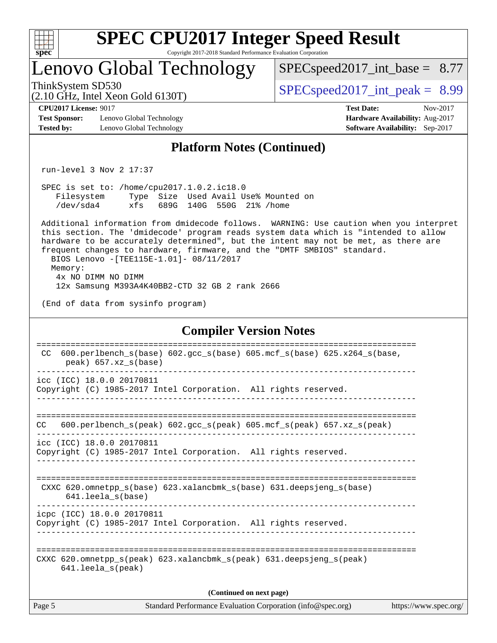| ę.<br>z | L | ť |  |
|---------|---|---|--|

# Lenovo Global Technology

 $SPECspeed2017\_int\_base = 8.77$ 

(2.10 GHz, Intel Xeon Gold 6130T)

ThinkSystem SD530  $SPEC speed2017$  int peak = 8.99

**[CPU2017 License:](http://www.spec.org/auto/cpu2017/Docs/result-fields.html#CPU2017License)** 9017 **[Test Date:](http://www.spec.org/auto/cpu2017/Docs/result-fields.html#TestDate)** Nov-2017

**[Test Sponsor:](http://www.spec.org/auto/cpu2017/Docs/result-fields.html#TestSponsor)** Lenovo Global Technology **[Hardware Availability:](http://www.spec.org/auto/cpu2017/Docs/result-fields.html#HardwareAvailability)** Aug-2017 **[Tested by:](http://www.spec.org/auto/cpu2017/Docs/result-fields.html#Testedby)** Lenovo Global Technology **[Software Availability:](http://www.spec.org/auto/cpu2017/Docs/result-fields.html#SoftwareAvailability)** Sep-2017

## **[Platform Notes \(Continued\)](http://www.spec.org/auto/cpu2017/Docs/result-fields.html#PlatformNotes)**

run-level 3 Nov 2 17:37

 SPEC is set to: /home/cpu2017.1.0.2.ic18.0 Filesystem Type Size Used Avail Use% Mounted on /dev/sda4 xfs 689G 140G 550G 21% /home

 Additional information from dmidecode follows. WARNING: Use caution when you interpret this section. The 'dmidecode' program reads system data which is "intended to allow hardware to be accurately determined", but the intent may not be met, as there are frequent changes to hardware, firmware, and the "DMTF SMBIOS" standard. BIOS Lenovo -[TEE115E-1.01]- 08/11/2017 Memory: 4x NO DIMM NO DIMM

12x Samsung M393A4K40BB2-CTD 32 GB 2 rank 2666

(End of data from sysinfo program)

### **[Compiler Version Notes](http://www.spec.org/auto/cpu2017/Docs/result-fields.html#CompilerVersionNotes)**

| 600.perlbench $s(base)$ 602.qcc $s(base)$ 605.mcf $s(base)$ 625.x264 $s(base)$<br>CC.<br>$peak)$ 657.xz $s(base)$          |  |  |  |  |  |
|----------------------------------------------------------------------------------------------------------------------------|--|--|--|--|--|
| icc (ICC) 18.0.0 20170811<br>Copyright (C) 1985-2017 Intel Corporation. All rights reserved.                               |  |  |  |  |  |
| 600.perlbench s(peak) 602.gcc s(peak) 605.mcf s(peak) 657.xz s(peak)<br>CC.                                                |  |  |  |  |  |
| icc (ICC) 18.0.0 20170811<br>Copyright (C) 1985-2017 Intel Corporation. All rights reserved.                               |  |  |  |  |  |
| CXXC 620.omnetpp $s(base)$ 623.xalancbmk $s(base)$ 631.deepsjeng $s(base)$<br>$641.$ leela $s$ (base)                      |  |  |  |  |  |
| icpc (ICC) 18.0.0 20170811<br>Copyright (C) 1985-2017 Intel Corporation. All rights reserved.                              |  |  |  |  |  |
| CXXC 620.omnetpp $s(\text{peak})$ 623.xalancbmk $s(\text{peak})$ 631.deepsjeng $s(\text{peak})$<br>$641.$ leela $s$ (peak) |  |  |  |  |  |
| (Continued on next page)                                                                                                   |  |  |  |  |  |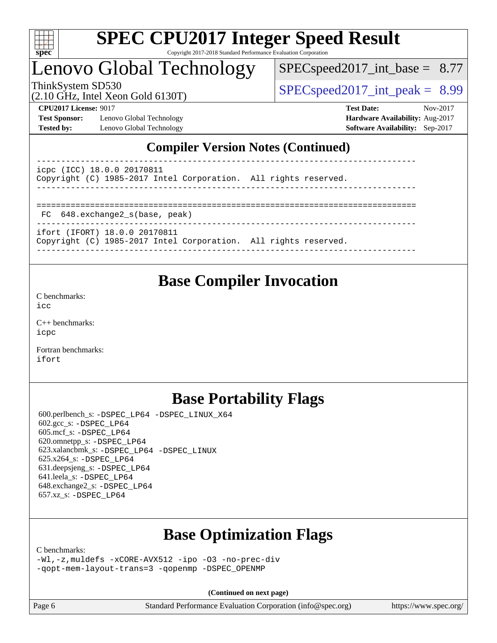

# Lenovo Global Technology

 $SPECspeed2017\_int\_base = 8.77$ 

ThinkSystem SD530  $SPEC speed2017$  int peak = 8.99

**[Test Sponsor:](http://www.spec.org/auto/cpu2017/Docs/result-fields.html#TestSponsor)** Lenovo Global Technology **[Hardware Availability:](http://www.spec.org/auto/cpu2017/Docs/result-fields.html#HardwareAvailability)** Aug-2017 **[Tested by:](http://www.spec.org/auto/cpu2017/Docs/result-fields.html#Testedby)** Lenovo Global Technology **[Software Availability:](http://www.spec.org/auto/cpu2017/Docs/result-fields.html#SoftwareAvailability)** Sep-2017

(2.10 GHz, Intel Xeon Gold 6130T)

**[CPU2017 License:](http://www.spec.org/auto/cpu2017/Docs/result-fields.html#CPU2017License)** 9017 **[Test Date:](http://www.spec.org/auto/cpu2017/Docs/result-fields.html#TestDate)** Nov-2017

## **[Compiler Version Notes \(Continued\)](http://www.spec.org/auto/cpu2017/Docs/result-fields.html#CompilerVersionNotes)**

----------------------------------------------------------------------------- icpc (ICC) 18.0.0 20170811 Copyright (C) 1985-2017 Intel Corporation. All rights reserved. ------------------------------------------------------------------------------ ============================================================================== FC 648.exchange2\_s(base, peak) ------------------------------------------------------------------------------

ifort (IFORT) 18.0.0 20170811

Copyright (C) 1985-2017 Intel Corporation. All rights reserved.

**[Base Compiler Invocation](http://www.spec.org/auto/cpu2017/Docs/result-fields.html#BaseCompilerInvocation)**

------------------------------------------------------------------------------

[C benchmarks](http://www.spec.org/auto/cpu2017/Docs/result-fields.html#Cbenchmarks):  $i$ cc

[C++ benchmarks:](http://www.spec.org/auto/cpu2017/Docs/result-fields.html#CXXbenchmarks) [icpc](http://www.spec.org/cpu2017/results/res2017q4/cpu2017-20171114-00700.flags.html#user_CXXbase_intel_icpc_18.0_c510b6838c7f56d33e37e94d029a35b4a7bccf4766a728ee175e80a419847e808290a9b78be685c44ab727ea267ec2f070ec5dc83b407c0218cded6866a35d07)

[Fortran benchmarks](http://www.spec.org/auto/cpu2017/Docs/result-fields.html#Fortranbenchmarks): [ifort](http://www.spec.org/cpu2017/results/res2017q4/cpu2017-20171114-00700.flags.html#user_FCbase_intel_ifort_18.0_8111460550e3ca792625aed983ce982f94888b8b503583aa7ba2b8303487b4d8a21a13e7191a45c5fd58ff318f48f9492884d4413fa793fd88dd292cad7027ca)

## **[Base Portability Flags](http://www.spec.org/auto/cpu2017/Docs/result-fields.html#BasePortabilityFlags)**

 600.perlbench\_s: [-DSPEC\\_LP64](http://www.spec.org/cpu2017/results/res2017q4/cpu2017-20171114-00700.flags.html#b600.perlbench_s_basePORTABILITY_DSPEC_LP64) [-DSPEC\\_LINUX\\_X64](http://www.spec.org/cpu2017/results/res2017q4/cpu2017-20171114-00700.flags.html#b600.perlbench_s_baseCPORTABILITY_DSPEC_LINUX_X64) 602.gcc\_s: [-DSPEC\\_LP64](http://www.spec.org/cpu2017/results/res2017q4/cpu2017-20171114-00700.flags.html#suite_basePORTABILITY602_gcc_s_DSPEC_LP64) 605.mcf\_s: [-DSPEC\\_LP64](http://www.spec.org/cpu2017/results/res2017q4/cpu2017-20171114-00700.flags.html#suite_basePORTABILITY605_mcf_s_DSPEC_LP64) 620.omnetpp\_s: [-DSPEC\\_LP64](http://www.spec.org/cpu2017/results/res2017q4/cpu2017-20171114-00700.flags.html#suite_basePORTABILITY620_omnetpp_s_DSPEC_LP64) 623.xalancbmk\_s: [-DSPEC\\_LP64](http://www.spec.org/cpu2017/results/res2017q4/cpu2017-20171114-00700.flags.html#suite_basePORTABILITY623_xalancbmk_s_DSPEC_LP64) [-DSPEC\\_LINUX](http://www.spec.org/cpu2017/results/res2017q4/cpu2017-20171114-00700.flags.html#b623.xalancbmk_s_baseCXXPORTABILITY_DSPEC_LINUX) 625.x264\_s: [-DSPEC\\_LP64](http://www.spec.org/cpu2017/results/res2017q4/cpu2017-20171114-00700.flags.html#suite_basePORTABILITY625_x264_s_DSPEC_LP64) 631.deepsjeng\_s: [-DSPEC\\_LP64](http://www.spec.org/cpu2017/results/res2017q4/cpu2017-20171114-00700.flags.html#suite_basePORTABILITY631_deepsjeng_s_DSPEC_LP64) 641.leela\_s: [-DSPEC\\_LP64](http://www.spec.org/cpu2017/results/res2017q4/cpu2017-20171114-00700.flags.html#suite_basePORTABILITY641_leela_s_DSPEC_LP64) 648.exchange2\_s: [-DSPEC\\_LP64](http://www.spec.org/cpu2017/results/res2017q4/cpu2017-20171114-00700.flags.html#suite_basePORTABILITY648_exchange2_s_DSPEC_LP64) 657.xz\_s: [-DSPEC\\_LP64](http://www.spec.org/cpu2017/results/res2017q4/cpu2017-20171114-00700.flags.html#suite_basePORTABILITY657_xz_s_DSPEC_LP64)

## **[Base Optimization Flags](http://www.spec.org/auto/cpu2017/Docs/result-fields.html#BaseOptimizationFlags)**

[C benchmarks](http://www.spec.org/auto/cpu2017/Docs/result-fields.html#Cbenchmarks):

[-Wl,-z,muldefs](http://www.spec.org/cpu2017/results/res2017q4/cpu2017-20171114-00700.flags.html#user_CCbase_link_force_multiple1_b4cbdb97b34bdee9ceefcfe54f4c8ea74255f0b02a4b23e853cdb0e18eb4525ac79b5a88067c842dd0ee6996c24547a27a4b99331201badda8798ef8a743f577) [-xCORE-AVX512](http://www.spec.org/cpu2017/results/res2017q4/cpu2017-20171114-00700.flags.html#user_CCbase_f-xCORE-AVX512) [-ipo](http://www.spec.org/cpu2017/results/res2017q4/cpu2017-20171114-00700.flags.html#user_CCbase_f-ipo) [-O3](http://www.spec.org/cpu2017/results/res2017q4/cpu2017-20171114-00700.flags.html#user_CCbase_f-O3) [-no-prec-div](http://www.spec.org/cpu2017/results/res2017q4/cpu2017-20171114-00700.flags.html#user_CCbase_f-no-prec-div) [-qopt-mem-layout-trans=3](http://www.spec.org/cpu2017/results/res2017q4/cpu2017-20171114-00700.flags.html#user_CCbase_f-qopt-mem-layout-trans_de80db37974c74b1f0e20d883f0b675c88c3b01e9d123adea9b28688d64333345fb62bc4a798493513fdb68f60282f9a726aa07f478b2f7113531aecce732043) [-qopenmp](http://www.spec.org/cpu2017/results/res2017q4/cpu2017-20171114-00700.flags.html#user_CCbase_qopenmp_16be0c44f24f464004c6784a7acb94aca937f053568ce72f94b139a11c7c168634a55f6653758ddd83bcf7b8463e8028bb0b48b77bcddc6b78d5d95bb1df2967) [-DSPEC\\_OPENMP](http://www.spec.org/cpu2017/results/res2017q4/cpu2017-20171114-00700.flags.html#suite_CCbase_DSPEC_OPENMP)

**(Continued on next page)**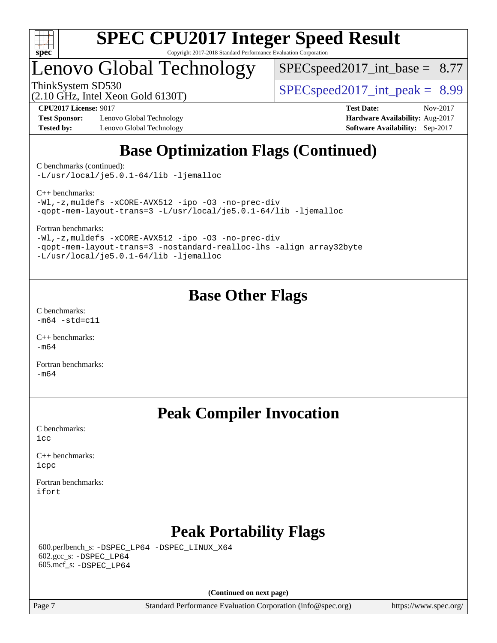

# Lenovo Global Technology

 $SPECspeed2017\_int\_base = 8.77$ 

ThinkSystem SD530  $SPEC speed2017$  int peak = 8.99

**[Test Sponsor:](http://www.spec.org/auto/cpu2017/Docs/result-fields.html#TestSponsor)** Lenovo Global Technology **[Hardware Availability:](http://www.spec.org/auto/cpu2017/Docs/result-fields.html#HardwareAvailability)** Aug-2017 **[Tested by:](http://www.spec.org/auto/cpu2017/Docs/result-fields.html#Testedby)** Lenovo Global Technology **[Software Availability:](http://www.spec.org/auto/cpu2017/Docs/result-fields.html#SoftwareAvailability)** Sep-2017

(2.10 GHz, Intel Xeon Gold 6130T)

**[CPU2017 License:](http://www.spec.org/auto/cpu2017/Docs/result-fields.html#CPU2017License)** 9017 **[Test Date:](http://www.spec.org/auto/cpu2017/Docs/result-fields.html#TestDate)** Nov-2017

# **[Base Optimization Flags \(Continued\)](http://www.spec.org/auto/cpu2017/Docs/result-fields.html#BaseOptimizationFlags)**

[C benchmarks](http://www.spec.org/auto/cpu2017/Docs/result-fields.html#Cbenchmarks) (continued):

[-L/usr/local/je5.0.1-64/lib](http://www.spec.org/cpu2017/results/res2017q4/cpu2017-20171114-00700.flags.html#user_CCbase_jemalloc_link_path64_4b10a636b7bce113509b17f3bd0d6226c5fb2346b9178c2d0232c14f04ab830f976640479e5c33dc2bcbbdad86ecfb6634cbbd4418746f06f368b512fced5394) [-ljemalloc](http://www.spec.org/cpu2017/results/res2017q4/cpu2017-20171114-00700.flags.html#user_CCbase_jemalloc_link_lib_d1249b907c500fa1c0672f44f562e3d0f79738ae9e3c4a9c376d49f265a04b9c99b167ecedbf6711b3085be911c67ff61f150a17b3472be731631ba4d0471706)

[C++ benchmarks:](http://www.spec.org/auto/cpu2017/Docs/result-fields.html#CXXbenchmarks)

[-Wl,-z,muldefs](http://www.spec.org/cpu2017/results/res2017q4/cpu2017-20171114-00700.flags.html#user_CXXbase_link_force_multiple1_b4cbdb97b34bdee9ceefcfe54f4c8ea74255f0b02a4b23e853cdb0e18eb4525ac79b5a88067c842dd0ee6996c24547a27a4b99331201badda8798ef8a743f577) [-xCORE-AVX512](http://www.spec.org/cpu2017/results/res2017q4/cpu2017-20171114-00700.flags.html#user_CXXbase_f-xCORE-AVX512) [-ipo](http://www.spec.org/cpu2017/results/res2017q4/cpu2017-20171114-00700.flags.html#user_CXXbase_f-ipo) [-O3](http://www.spec.org/cpu2017/results/res2017q4/cpu2017-20171114-00700.flags.html#user_CXXbase_f-O3) [-no-prec-div](http://www.spec.org/cpu2017/results/res2017q4/cpu2017-20171114-00700.flags.html#user_CXXbase_f-no-prec-div) [-qopt-mem-layout-trans=3](http://www.spec.org/cpu2017/results/res2017q4/cpu2017-20171114-00700.flags.html#user_CXXbase_f-qopt-mem-layout-trans_de80db37974c74b1f0e20d883f0b675c88c3b01e9d123adea9b28688d64333345fb62bc4a798493513fdb68f60282f9a726aa07f478b2f7113531aecce732043) [-L/usr/local/je5.0.1-64/lib](http://www.spec.org/cpu2017/results/res2017q4/cpu2017-20171114-00700.flags.html#user_CXXbase_jemalloc_link_path64_4b10a636b7bce113509b17f3bd0d6226c5fb2346b9178c2d0232c14f04ab830f976640479e5c33dc2bcbbdad86ecfb6634cbbd4418746f06f368b512fced5394) [-ljemalloc](http://www.spec.org/cpu2017/results/res2017q4/cpu2017-20171114-00700.flags.html#user_CXXbase_jemalloc_link_lib_d1249b907c500fa1c0672f44f562e3d0f79738ae9e3c4a9c376d49f265a04b9c99b167ecedbf6711b3085be911c67ff61f150a17b3472be731631ba4d0471706)

[Fortran benchmarks](http://www.spec.org/auto/cpu2017/Docs/result-fields.html#Fortranbenchmarks):

[-Wl,-z,muldefs](http://www.spec.org/cpu2017/results/res2017q4/cpu2017-20171114-00700.flags.html#user_FCbase_link_force_multiple1_b4cbdb97b34bdee9ceefcfe54f4c8ea74255f0b02a4b23e853cdb0e18eb4525ac79b5a88067c842dd0ee6996c24547a27a4b99331201badda8798ef8a743f577) [-xCORE-AVX512](http://www.spec.org/cpu2017/results/res2017q4/cpu2017-20171114-00700.flags.html#user_FCbase_f-xCORE-AVX512) [-ipo](http://www.spec.org/cpu2017/results/res2017q4/cpu2017-20171114-00700.flags.html#user_FCbase_f-ipo) [-O3](http://www.spec.org/cpu2017/results/res2017q4/cpu2017-20171114-00700.flags.html#user_FCbase_f-O3) [-no-prec-div](http://www.spec.org/cpu2017/results/res2017q4/cpu2017-20171114-00700.flags.html#user_FCbase_f-no-prec-div) [-qopt-mem-layout-trans=3](http://www.spec.org/cpu2017/results/res2017q4/cpu2017-20171114-00700.flags.html#user_FCbase_f-qopt-mem-layout-trans_de80db37974c74b1f0e20d883f0b675c88c3b01e9d123adea9b28688d64333345fb62bc4a798493513fdb68f60282f9a726aa07f478b2f7113531aecce732043) [-nostandard-realloc-lhs](http://www.spec.org/cpu2017/results/res2017q4/cpu2017-20171114-00700.flags.html#user_FCbase_f_2003_std_realloc_82b4557e90729c0f113870c07e44d33d6f5a304b4f63d4c15d2d0f1fab99f5daaed73bdb9275d9ae411527f28b936061aa8b9c8f2d63842963b95c9dd6426b8a) [-align array32byte](http://www.spec.org/cpu2017/results/res2017q4/cpu2017-20171114-00700.flags.html#user_FCbase_align_array32byte_b982fe038af199962ba9a80c053b8342c548c85b40b8e86eb3cc33dee0d7986a4af373ac2d51c3f7cf710a18d62fdce2948f201cd044323541f22fc0fffc51b6) [-L/usr/local/je5.0.1-64/lib](http://www.spec.org/cpu2017/results/res2017q4/cpu2017-20171114-00700.flags.html#user_FCbase_jemalloc_link_path64_4b10a636b7bce113509b17f3bd0d6226c5fb2346b9178c2d0232c14f04ab830f976640479e5c33dc2bcbbdad86ecfb6634cbbd4418746f06f368b512fced5394) [-ljemalloc](http://www.spec.org/cpu2017/results/res2017q4/cpu2017-20171114-00700.flags.html#user_FCbase_jemalloc_link_lib_d1249b907c500fa1c0672f44f562e3d0f79738ae9e3c4a9c376d49f265a04b9c99b167ecedbf6711b3085be911c67ff61f150a17b3472be731631ba4d0471706)

## **[Base Other Flags](http://www.spec.org/auto/cpu2017/Docs/result-fields.html#BaseOtherFlags)**

[C benchmarks](http://www.spec.org/auto/cpu2017/Docs/result-fields.html#Cbenchmarks):  $-m64 - std = c11$  $-m64 - std = c11$ 

[C++ benchmarks:](http://www.spec.org/auto/cpu2017/Docs/result-fields.html#CXXbenchmarks) [-m64](http://www.spec.org/cpu2017/results/res2017q4/cpu2017-20171114-00700.flags.html#user_CXXbase_intel_intel64_18.0_af43caccfc8ded86e7699f2159af6efc7655f51387b94da716254467f3c01020a5059329e2569e4053f409e7c9202a7efc638f7a6d1ffb3f52dea4a3e31d82ab)

[Fortran benchmarks](http://www.spec.org/auto/cpu2017/Docs/result-fields.html#Fortranbenchmarks):  $-m64$ 

## **[Peak Compiler Invocation](http://www.spec.org/auto/cpu2017/Docs/result-fields.html#PeakCompilerInvocation)**

[C benchmarks](http://www.spec.org/auto/cpu2017/Docs/result-fields.html#Cbenchmarks):  $i$ cc

[C++ benchmarks:](http://www.spec.org/auto/cpu2017/Docs/result-fields.html#CXXbenchmarks) [icpc](http://www.spec.org/cpu2017/results/res2017q4/cpu2017-20171114-00700.flags.html#user_CXXpeak_intel_icpc_18.0_c510b6838c7f56d33e37e94d029a35b4a7bccf4766a728ee175e80a419847e808290a9b78be685c44ab727ea267ec2f070ec5dc83b407c0218cded6866a35d07)

[Fortran benchmarks](http://www.spec.org/auto/cpu2017/Docs/result-fields.html#Fortranbenchmarks): [ifort](http://www.spec.org/cpu2017/results/res2017q4/cpu2017-20171114-00700.flags.html#user_FCpeak_intel_ifort_18.0_8111460550e3ca792625aed983ce982f94888b8b503583aa7ba2b8303487b4d8a21a13e7191a45c5fd58ff318f48f9492884d4413fa793fd88dd292cad7027ca)

# **[Peak Portability Flags](http://www.spec.org/auto/cpu2017/Docs/result-fields.html#PeakPortabilityFlags)**

 600.perlbench\_s: [-DSPEC\\_LP64](http://www.spec.org/cpu2017/results/res2017q4/cpu2017-20171114-00700.flags.html#b600.perlbench_s_peakPORTABILITY_DSPEC_LP64) [-DSPEC\\_LINUX\\_X64](http://www.spec.org/cpu2017/results/res2017q4/cpu2017-20171114-00700.flags.html#b600.perlbench_s_peakCPORTABILITY_DSPEC_LINUX_X64) 602.gcc\_s: [-DSPEC\\_LP64](http://www.spec.org/cpu2017/results/res2017q4/cpu2017-20171114-00700.flags.html#suite_peakPORTABILITY602_gcc_s_DSPEC_LP64) 605.mcf\_s: [-DSPEC\\_LP64](http://www.spec.org/cpu2017/results/res2017q4/cpu2017-20171114-00700.flags.html#suite_peakPORTABILITY605_mcf_s_DSPEC_LP64)

**(Continued on next page)**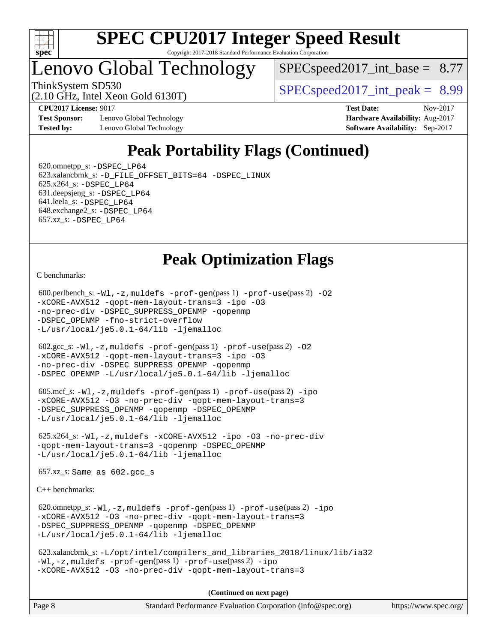

# Lenovo Global Technology

 $SPECspeed2017\_int\_base = 8.77$ 

(2.10 GHz, Intel Xeon Gold 6130T)

ThinkSystem SD530  $SPEC speed2017$  int peak = 8.99

**[Test Sponsor:](http://www.spec.org/auto/cpu2017/Docs/result-fields.html#TestSponsor)** Lenovo Global Technology **[Hardware Availability:](http://www.spec.org/auto/cpu2017/Docs/result-fields.html#HardwareAvailability)** Aug-2017 **[Tested by:](http://www.spec.org/auto/cpu2017/Docs/result-fields.html#Testedby)** Lenovo Global Technology **[Software Availability:](http://www.spec.org/auto/cpu2017/Docs/result-fields.html#SoftwareAvailability)** Sep-2017

**[CPU2017 License:](http://www.spec.org/auto/cpu2017/Docs/result-fields.html#CPU2017License)** 9017 **[Test Date:](http://www.spec.org/auto/cpu2017/Docs/result-fields.html#TestDate)** Nov-2017

# **[Peak Portability Flags \(Continued\)](http://www.spec.org/auto/cpu2017/Docs/result-fields.html#PeakPortabilityFlags)**

 620.omnetpp\_s: [-DSPEC\\_LP64](http://www.spec.org/cpu2017/results/res2017q4/cpu2017-20171114-00700.flags.html#suite_peakPORTABILITY620_omnetpp_s_DSPEC_LP64) 623.xalancbmk\_s: [-D\\_FILE\\_OFFSET\\_BITS=64](http://www.spec.org/cpu2017/results/res2017q4/cpu2017-20171114-00700.flags.html#user_peakPORTABILITY623_xalancbmk_s_file_offset_bits_64_5ae949a99b284ddf4e95728d47cb0843d81b2eb0e18bdfe74bbf0f61d0b064f4bda2f10ea5eb90e1dcab0e84dbc592acfc5018bc955c18609f94ddb8d550002c) [-DSPEC\\_LINUX](http://www.spec.org/cpu2017/results/res2017q4/cpu2017-20171114-00700.flags.html#b623.xalancbmk_s_peakCXXPORTABILITY_DSPEC_LINUX) 625.x264\_s: [-DSPEC\\_LP64](http://www.spec.org/cpu2017/results/res2017q4/cpu2017-20171114-00700.flags.html#suite_peakPORTABILITY625_x264_s_DSPEC_LP64) 631.deepsjeng\_s: [-DSPEC\\_LP64](http://www.spec.org/cpu2017/results/res2017q4/cpu2017-20171114-00700.flags.html#suite_peakPORTABILITY631_deepsjeng_s_DSPEC_LP64) 641.leela\_s: [-DSPEC\\_LP64](http://www.spec.org/cpu2017/results/res2017q4/cpu2017-20171114-00700.flags.html#suite_peakPORTABILITY641_leela_s_DSPEC_LP64) 648.exchange2\_s: [-DSPEC\\_LP64](http://www.spec.org/cpu2017/results/res2017q4/cpu2017-20171114-00700.flags.html#suite_peakPORTABILITY648_exchange2_s_DSPEC_LP64) 657.xz\_s: [-DSPEC\\_LP64](http://www.spec.org/cpu2017/results/res2017q4/cpu2017-20171114-00700.flags.html#suite_peakPORTABILITY657_xz_s_DSPEC_LP64)

## **[Peak Optimization Flags](http://www.spec.org/auto/cpu2017/Docs/result-fields.html#PeakOptimizationFlags)**

[C benchmarks](http://www.spec.org/auto/cpu2017/Docs/result-fields.html#Cbenchmarks):

```
600.perlbench_s: -W1-prof-gen-prof-use(pass 2) -02
-xCORE-AVX512 -qopt-mem-layout-trans=3 -ipo -O3
-no-prec-div -DSPEC_SUPPRESS_OPENMP -qopenmp
-DSPEC_OPENMP -fno-strict-overflow
-L/usr/local/je5.0.1-64/lib -ljemalloc
 602.gcc_s: -Wl,-z,muldefs -prof-gen(pass 1) -prof-use(pass 2) -O2
-xCORE-AVX512 -qopt-mem-layout-trans=3 -ipo -O3
-no-prec-div -DSPEC_SUPPRESS_OPENMP -qopenmp
-DSPEC_OPENMP -L/usr/local/je5.0.1-64/lib -ljemalloc
605.mcf_s: -W1, -z, muldefs -prof -qen(pass 1) -prof-ipo
-xCORE-AVX512 -O3 -no-prec-div -qopt-mem-layout-trans=3
-DSPEC_SUPPRESS_OPENMP -qopenmp -DSPEC_OPENMP
-L/usr/local/je5.0.1-64/lib -ljemalloc
 625.x264_s: -Wl,-z,muldefs -xCORE-AVX512 -ipo -O3 -no-prec-div
-qopt-mem-layout-trans=3 -qopenmp -DSPEC_OPENMP
-L/usr/local/je5.0.1-64/lib -ljemalloc
 657.xz_s: Same as 602.gcc_s
C++ benchmarks: 
 620.omnetpp_s: -Wl,-z,muldefs -prof-gen(pass 1) -prof-use(pass 2) -ipo
-xCORE-AVX512 -O3 -no-prec-div -qopt-mem-layout-trans=3
-DSPEC_SUPPRESS_OPENMP -qopenmp -DSPEC_OPENMP
-L/usr/local/je5.0.1-64/lib -ljemalloc
 623.xalancbmk_s: -L/opt/intel/compilers_and_libraries_2018/linux/lib/ia32
```

```
-Wl,-z,muldefs -prof-gen(pass 1) -prof-use(pass 2) -ipo
-xCORE-AVX512 -O3 -no-prec-div -qopt-mem-layout-trans=3
```
**(Continued on next page)**